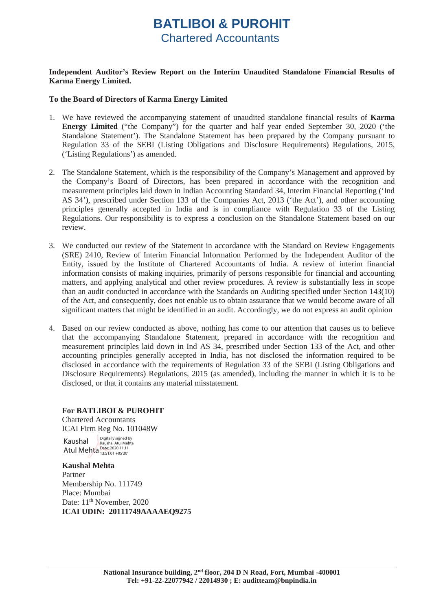# **BATLIBOI & PUROHIT**  Chartered Accountants

### **Independent Auditor's Review Report on the Interim Unaudited Standalone Financial Results of Karma Energy Limited.**

### **To the Board of Directors of Karma Energy Limited**

- 1. We have reviewed the accompanying statement of unaudited standalone financial results of **Karma Energy Limited** ("the Company") for the quarter and half year ended September 30, 2020 ('the Standalone Statement'). The Standalone Statement has been prepared by the Company pursuant to Regulation 33 of the SEBI (Listing Obligations and Disclosure Requirements) Regulations, 2015, ('Listing Regulations') as amended.
- 2. The Standalone Statement, which is the responsibility of the Company's Management and approved by the Company's Board of Directors, has been prepared in accordance with the recognition and measurement principles laid down in Indian Accounting Standard 34, Interim Financial Reporting ('Ind AS 34'), prescribed under Section 133 of the Companies Act, 2013 ('the Act'), and other accounting principles generally accepted in India and is in compliance with Regulation 33 of the Listing Regulations. Our responsibility is to express a conclusion on the Standalone Statement based on our review.
- 3. We conducted our review of the Statement in accordance with the Standard on Review Engagements (SRE) 2410, Review of Interim Financial Information Performed by the Independent Auditor of the Entity, issued by the Institute of Chartered Accountants of India. A review of interim financial information consists of making inquiries, primarily of persons responsible for financial and accounting matters, and applying analytical and other review procedures. A review is substantially less in scope than an audit conducted in accordance with the Standards on Auditing specified under Section 143(10) of the Act, and consequently, does not enable us to obtain assurance that we would become aware of all significant matters that might be identified in an audit. Accordingly, we do not express an audit opinion
- 4. Based on our review conducted as above, nothing has come to our attention that causes us to believe that the accompanying Standalone Statement, prepared in accordance with the recognition and measurement principles laid down in Ind AS 34, prescribed under Section 133 of the Act, and other accounting principles generally accepted in India, has not disclosed the information required to be disclosed in accordance with the requirements of Regulation 33 of the SEBI (Listing Obligations and Disclosure Requirements) Regulations, 2015 (as amended), including the manner in which it is to be disclosed, or that it contains any material misstatement.

### **For BATLIBOI & PUROHIT**

Chartered Accountants ICAI Firm Reg No. 101048W

Kaushal Atul Mehta Date: 2020.11.11 Digitally signed by Kaushal Atul Mehta

#### **Kaushal Mehta**  Partner Membership No. 111749 Place: Mumbai Date: 11<sup>th</sup> November, 2020 **ICAI UDIN: 20111749AAAAEQ9275**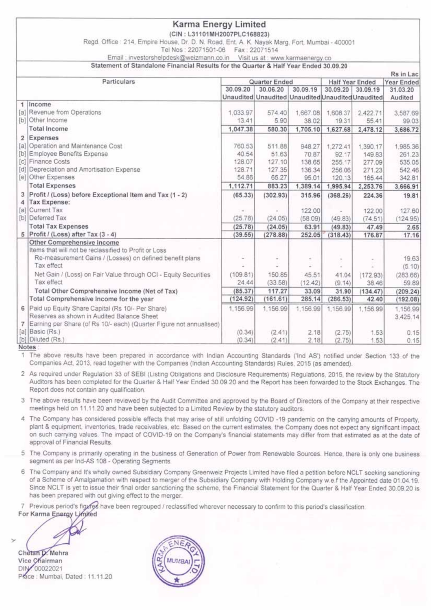|  |  | Karma Energy Limited |
|--|--|----------------------|
|--|--|----------------------|

(CIN: L31101MH2007PLC168823)

Regd. Office : 214, Empire House, Dr. D. N. Road, Ent. A. K. Nayak Marg, Fort. Mumbai - 400001

Tel Nos: 22071501-06 Fax: 22071514

Email: investorshelpdesk@weizmann.co.in Visit us at : www.karmaenergy.co

Statement of Standalone Financial Results for the Quarter & Half Year Ended 30.09.20

|                |                                                                         |               |                                                   |          |                     |                        | Rs in Lac     |  |
|----------------|-------------------------------------------------------------------------|---------------|---------------------------------------------------|----------|---------------------|------------------------|---------------|--|
|                | Particulars                                                             | Quarter Ended |                                                   |          |                     | <b>Half Year Ended</b> | Year Ended    |  |
|                |                                                                         | 30.09.20      | 30.06.20                                          | 30.09.19 | 30.09.20            | 30.09.19               | 31.03.20      |  |
|                |                                                                         |               | Unaudited Unaudited Unaudited Unaudited Unaudited |          |                     |                        | Audited       |  |
|                | 1 Income                                                                |               |                                                   |          |                     |                        |               |  |
|                | [a] Revenue from Operations                                             | 1.033.97      | 574.40                                            | 1,667.08 | 1,608.37            | 2,422.71               | 3,587.69      |  |
|                | [b] Other Income                                                        | 13.41         | 5.90                                              | 38.02    | 19.31               | 55.41                  | 99.03         |  |
|                | <b>Total Income</b>                                                     | 1,047.38      | 580.30                                            | 1,705.10 | 1,627.68            | 2,478.12               | 3,686.72      |  |
|                | 2 Expenses                                                              |               |                                                   |          |                     |                        |               |  |
|                | [a] Operation and Maintenance Cost                                      | 760.53        | 511.88                                            | 948.27   | 1,272.41            | 1,390.17               | 1,985.36      |  |
|                | [b] Employee Benefits Expense                                           | 40.54         | 51.63                                             | 70.87    | 92.17               | 149.83                 | 261.23        |  |
|                | [c] Finance Costs                                                       | 128.07        | 127.10                                            | 138.65   | 255.17              | 277.09                 | 535.05        |  |
|                | [d] Depreciation and Amortisation Expense                               | 128.71        | 127.35                                            | 136.34   | 256.06              | 271.23                 | 542.46        |  |
|                | [e] Other Expenses                                                      | 54.86         | 65.27                                             | 95.01    | 120.13              | 165.44                 | 342.81        |  |
|                | <b>Total Expenses</b>                                                   | 1,112.71      | 883.23                                            | 1,389.14 | 1,995.94            | 2,253.76               | 3,666.91      |  |
| 3<br>4         | Profit / (Loss) before Exceptional Item and Tax (1 - 2)<br>Tax Expense: | (65.33)       | (302.93)                                          | 315.96   | (368.26)            | 224.36                 | 19.81         |  |
|                | [a] Current Tax                                                         |               |                                                   | 122.00   |                     | 122.00                 |               |  |
|                | [b] Deferred Tax                                                        | (25.78)       | (24.05)                                           | (58.09)  | (49.83)             | (74.51)                | 127.60        |  |
|                | <b>Total Tax Expenses</b>                                               | (25.78)       | (24.05)                                           | 63.91    |                     | 47.49                  | (124.95)      |  |
|                | 5 Profit / (Loss) after Tax (3 - 4)                                     | (39.55)       | (278.88)                                          | 252.05   | (49.83)<br>(318.43) | 176.87                 | 2.65<br>17.16 |  |
|                | Other Comprehensive Income                                              |               |                                                   |          |                     |                        |               |  |
|                | Items that will not be reclassified to Profit or Loss                   |               |                                                   |          |                     |                        |               |  |
|                | Re-measurement Gains / (Losses) on defined benefit plans                |               |                                                   |          |                     |                        | 19.63         |  |
|                | Tax effect                                                              |               |                                                   |          |                     |                        | (5.10)        |  |
|                | Net Gain / (Loss) on Fair Value through OCI - Equity Securities         | (109.81)      | 150.85                                            | 45.51    | 41.04               | (172.93)               | (283.66)      |  |
|                | Tax effect                                                              | 24.44         | (33.58)                                           | (12.42)  | (9.14)              | 38.46                  | 59.89         |  |
|                | Total Other Comprehensive Income (Net of Tax)                           | (85.37)       | 117.27                                            | 33.09    | 31.90               | (134.47)               | (209.24)      |  |
|                | Total Comprehensive Income for the year                                 | (124.92)      | (161.61)                                          | 285.14   | (286.53)            | 42.40                  | (192.08)      |  |
|                | 6 Paid up Equity Share Capital (Rs 10/- Per Share)                      | 1,156.99      | 1,156.99                                          | 1,156.99 | 1,156.99            | 1,156.99               | 1,156.99      |  |
|                | Reserves as shown in Audited Balance Sheet                              |               |                                                   |          |                     |                        | 3,425.14      |  |
| 7 <sup>1</sup> | Earning per Share (of Rs 10/- each) (Quarter Figure not annualised)     |               |                                                   |          |                     |                        |               |  |
|                | [a] Basic (Rs.)                                                         | (0.34)        | (2.41)                                            | 2.18     | (2.75)              | 1.53                   | 0.15          |  |
|                | [b] Diluted (Rs.)                                                       | (0.34)        | (2.41)                                            | 2.18     | (2.75)              | 1.53                   | 0.15          |  |
|                | Notes:                                                                  |               |                                                   |          |                     |                        |               |  |

Notes

1 The above results have been prepared in accordance with Indian Accounting Standards ('Ind AS') notified under Section 133 of the Companies Act, 2013, read together with the Companies (Indian Accounting Standards) Rules, 2015 (as amended).

2 As required under Regulation 33 of SEBI (Listing Obligations and Disclosure Requirements) Regulations, 2015, the review by the Statutory Auditors has been completed for the Quarter & Half Year Ended 30.09.20 and the Report has been forwarded to the Stock Exchanges. The Report does not contain any qualification.

3 The above results have been reviewed by the Audit Committee and approved by the Board of Directors of the Company at their respective meetings held on 11.11.20 and have been subjected to a Limited Review by the statutory auditors.

4 The Company has considered possible effects that may arise of still unfolding COVID -19 pandemic on the carrying amounts of Property. plant & equipment, inventories, trade receivables, etc. Based on the current estimates, the Company does not expect any significant impact on such carrying values. The impact of COVID-19 on the Company's financial statements may differ from that estimated as at the date of approval of Financial Results.

5 The Company is primarily operating in the business of Generation of Power from Renewable Sources. Hence, there is only one business segment as per Ind-AS 108 - Operating Segments.

6 The Company and It's wholly owned Subsidiary Company Greenweiz Projects Limited have filed a petition before NCLT seeking sanctioning of a Scheme of Amalgamation with respect to merger of the Subsidiary Company with Holding Company w.e.f the Appointed date 01.04.19. Since NCLT is yet to issue their final order sanctioning the scheme, the Financial Statement for the Quarter & Half Year Ended 30.09.20 is has been prepared with out giving effect to the merger.

7 Previous period's figures have been regrouped / reclassified wherever necessary to confirm to this period's classification.

For Karma Epergy Limited

Chetan D. Mehra Vice Chairman DIN 00022021 Prace: Mumbai, Dated: 11.11.20

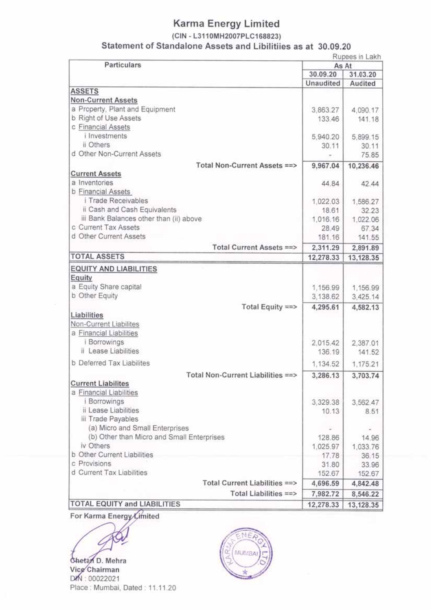### (CIN - L3110MH2007PLC168823)

Statement of Standalone Assets and Libilitiies as at 30.09.20

Rupees in Lakh

| Particulars                                |           | As At     |
|--------------------------------------------|-----------|-----------|
|                                            | 30.09.20  | 31.03.20  |
|                                            | Unaudited | Audited   |
| <b>ASSETS</b>                              |           |           |
| <b>Non-Current Assets</b>                  |           |           |
| a Property, Plant and Equipment            | 3,863.27  | 4,090.17  |
| b Right of Use Assets                      | 133.46    | 141.18    |
| c Financial Assets                         |           |           |
| i Investments                              | 5,940.20  | 5,899.15  |
| ii Others                                  | 30.11     | 30.11     |
| d Other Non-Current Assets                 |           | 75.85     |
| Total Non-Current Assets ==>               | 9,967.04  | 10,236.46 |
| <b>Current Assets</b>                      |           |           |
| a Inventories                              | 44.84     | 42.44     |
| <b>b</b> Financial Assets                  |           |           |
| i Trade Receivables                        | 1,022.03  | 1,586.27  |
| ii Cash and Cash Equivalents               | 18.61     | 32.23     |
| iii Bank Balances other than (ii) above    | 1,016.16  | 1,022.06  |
| c Current Tax Assets                       | 28.49     | 67.34     |
| d Other Current Assets                     | 181.16    | 141.55    |
| Total Current Assets ==>                   | 2,311.29  | 2,891.89  |
| <b>TOTAL ASSETS</b>                        | 12,278.33 | 13,128.35 |
|                                            |           |           |
| <b>EQUITY AND LIABILITIES</b>              |           |           |
| Equity                                     |           |           |
| a Equity Share capital                     | 1,156.99  | 1,156.99  |
| b Other Equity                             | 3,138.62  | 3,425.14  |
| Total Equity ==>                           | 4,295.61  | 4,582.13  |
| Liabilities                                |           |           |
| Non-Current Liabilites                     |           |           |
| a Financial Liabilities                    |           |           |
| <i><b>Borrowings</b></i>                   | 2,015.42  | 2,387.01  |
| ii Lease Liabilities                       | 136.19    | 141.52    |
| b Deferred Tax Liabilites                  | 1,134.52  | 1,175.21  |
| Total Non-Current Liabilities ==>          | 3,286.13  | 3,703.74  |
| <b>Current Liabilites</b>                  |           |           |
| a Financial Liabilities                    |           |           |
| <i>i</i> Borrowings                        | 3,329.38  | 3,562.47  |
| ii Lease Liabilities                       | 10.13     | 8.51      |
| iii Trade Payables                         |           |           |
| (a) Micro and Small Enterprises            |           |           |
| (b) Other than Micro and Small Enterprises |           |           |
| iv Others                                  | 128.86    | 14.96     |
| b Other Current Liabilities                | 1,025.97  | 1,033.76  |
| c Provisions                               | 17.78     | 36.15     |
|                                            | 31.80     | 33.96     |
| d Current Tax Liabilities                  | 152.67    | 152.67    |
| Total Current Liabilities ==>              | 4,696.59  | 4,842.48  |
| Total Liabilities ==>                      | 7,982.72  | 8,546.22  |
| TOTAL EQUITY and LIABILITIES               | 12,278.33 | 13,128.35 |

For Karma Energy Limited

Chetan D. Mehra Vice Chairman DIN: 00022021 Place: Mumbai, Dated: 11.11.20

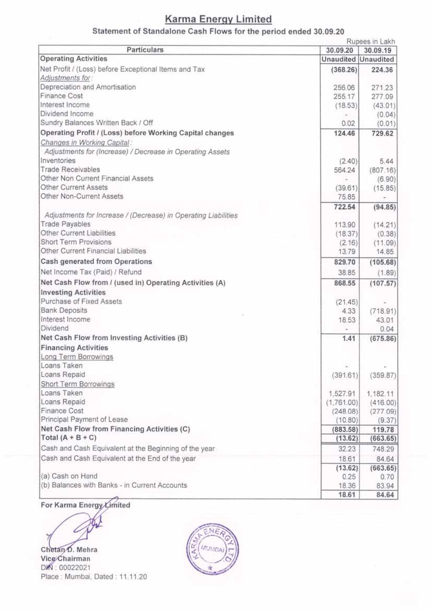## Statement of Standalone Cash Flows for the period ended 30.09.20

|                                                                |                     | Rupees in Lakh             |
|----------------------------------------------------------------|---------------------|----------------------------|
| Particulars                                                    | 30.09.20            | 30.09.19                   |
| <b>Operating Activities</b>                                    |                     | <b>Unaudited Unaudited</b> |
| Net Profit / (Loss) before Exceptional Items and Tax           | (368.26)            | 224.36                     |
| Adjustments for:                                               |                     |                            |
| Depreciation and Amortisation                                  | 256.06              | 271.23                     |
| <b>Finance Cost</b>                                            | 255.17              | 277.09                     |
| Interest Income                                                | (18.53)             | (43.01)                    |
| Dividend Income                                                |                     | (0.04)                     |
| Sundry Balances Written Back / Off                             | 0.02                | (0.01)                     |
| Operating Profit / (Loss) before Working Capital changes       | 124.46              | 729.62                     |
| Changes in Working Capital:                                    |                     |                            |
| Adjustments for (Increase) / Decrease in Operating Assets      |                     |                            |
| Inventories                                                    | (2.40)              | 5.44                       |
| <b>Trade Receivables</b>                                       | 564.24              | (807.16)                   |
| Other Non Current Financial Assets                             | ٠                   | (6.90)                     |
| Other Current Assets                                           | (39.61)             | (15.85)                    |
| Other Non-Current Assets                                       | 75.85               | $\sim$                     |
|                                                                | 722.54              | (94.85)                    |
| Adjustments for Increase / (Decrease) in Operating Liabilities |                     |                            |
| <b>Trade Payables</b>                                          | 113.90              | (14.21)                    |
| Other Current Liabilities                                      | (18.37)             | (0.38)                     |
| Short Term Provisions                                          | (2.16)              | (11.09)                    |
| Other Current Financial Liabilities                            | 13.79               | 14.85                      |
| Cash generated from Operations                                 | 829.70              | (105.68)                   |
| Net Income Tax (Paid) / Refund                                 | 38.85               | (1.89)                     |
| Net Cash Flow from / (used in) Operating Activities (A)        | 868.55              | (107.57)                   |
| <b>Investing Activities</b>                                    |                     |                            |
| Purchase of Fixed Assets                                       | (21.45)             |                            |
| <b>Bank Deposits</b>                                           | 4.33                | (718.91)                   |
| Interest Income                                                | 18.53               | 43.01                      |
| Dividend                                                       |                     | 0.04                       |
| Net Cash Flow from Investing Activities (B)                    | 1.41                | (675.86)                   |
| <b>Financing Activities</b>                                    |                     |                            |
| Long Term Borrowings                                           |                     |                            |
| Loans Taken                                                    |                     |                            |
| Loans Repaid                                                   | (391.61)            | (359.87)                   |
| Short Term Borrowings                                          |                     |                            |
| Loans Taken                                                    | 1,527.91            |                            |
| Loans Repaid                                                   | (1,761.00)          | 1,182.11<br>(416.00)       |
| Finance Cost                                                   | (248.08)            |                            |
| Principal Payment of Lease                                     | (10.80)             | (277.09)                   |
| Net Cash Flow from Financing Activities (C)                    |                     | (9.37)                     |
| Total $(A + B + C)$                                            | (883.58)<br>(13.62) | 119.78                     |
|                                                                |                     | (663.65)                   |
| Cash and Cash Equivalent at the Beginning of the year          | 32.23               | 748.29                     |
| Cash and Cash Equivalent at the End of the year                | 18.61               | 84.64                      |
|                                                                | (13.62)             | (663.65)                   |
| (a) Cash on Hand                                               | 0.25                | 0.70                       |
| (b) Balances with Banks - in Current Accounts                  | 18.36               | 83.94                      |
|                                                                | 18.61               | 84.64                      |

## For Karma Energy Limited

Chetan D. Mehra Vice Chairman DK : 00022021 Place: Mumbai, Dated: 11.11.20

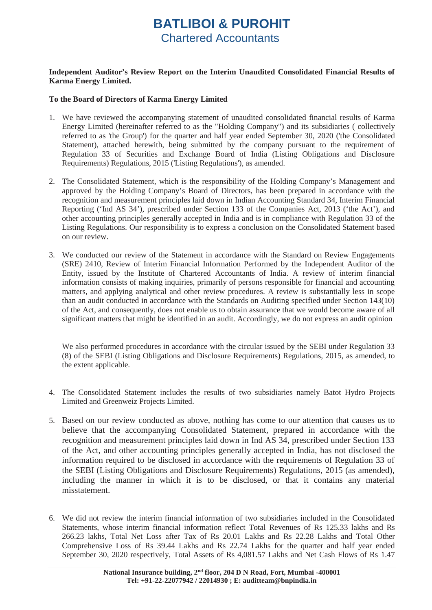# **BATLIBOI & PUROHIT**  Chartered Accountants

### **Independent Auditor's Review Report on the Interim Unaudited Consolidated Financial Results of Karma Energy Limited.**

### **To the Board of Directors of Karma Energy Limited**

- 1. We have reviewed the accompanying statement of unaudited consolidated financial results of Karma Energy Limited (hereinafter referred to as the "Holding Company") and its subsidiaries ( collectively referred to as 'the Group') for the quarter and half year ended September 30, 2020 ('the Consolidated Statement), attached herewith, being submitted by the company pursuant to the requirement of Regulation 33 of Securities and Exchange Board of India (Listing Obligations and Disclosure Requirements) Regulations, 2015 ('Listing Regulations'), as amended.
- 2. The Consolidated Statement, which is the responsibility of the Holding Company's Management and approved by the Holding Company's Board of Directors, has been prepared in accordance with the recognition and measurement principles laid down in Indian Accounting Standard 34, Interim Financial Reporting ('Ind AS 34'), prescribed under Section 133 of the Companies Act, 2013 ('the Act'), and other accounting principles generally accepted in India and is in compliance with Regulation 33 of the Listing Regulations. Our responsibility is to express a conclusion on the Consolidated Statement based on our review.
- 3. We conducted our review of the Statement in accordance with the Standard on Review Engagements (SRE) 2410, Review of Interim Financial Information Performed by the Independent Auditor of the Entity, issued by the Institute of Chartered Accountants of India. A review of interim financial information consists of making inquiries, primarily of persons responsible for financial and accounting matters, and applying analytical and other review procedures. A review is substantially less in scope than an audit conducted in accordance with the Standards on Auditing specified under Section 143(10) of the Act, and consequently, does not enable us to obtain assurance that we would become aware of all significant matters that might be identified in an audit. Accordingly, we do not express an audit opinion

We also performed procedures in accordance with the circular issued by the SEBI under Regulation 33 (8) of the SEBI (Listing Obligations and Disclosure Requirements) Regulations, 2015, as amended, to the extent applicable.

- 4. The Consolidated Statement includes the results of two subsidiaries namely Batot Hydro Projects Limited and Greenweiz Projects Limited.
- 5. Based on our review conducted as above, nothing has come to our attention that causes us to believe that the accompanying Consolidated Statement, prepared in accordance with the recognition and measurement principles laid down in Ind AS 34, prescribed under Section 133 of the Act, and other accounting principles generally accepted in India, has not disclosed the information required to be disclosed in accordance with the requirements of Regulation 33 of the SEBI (Listing Obligations and Disclosure Requirements) Regulations, 2015 (as amended), including the manner in which it is to be disclosed, or that it contains any material misstatement.
- 6. We did not review the interim financial information of two subsidiaries included in the Consolidated Statements, whose interim financial information reflect Total Revenues of Rs 125.33 lakhs and Rs 266.23 lakhs, Total Net Loss after Tax of Rs 20.01 Lakhs and Rs 22.28 Lakhs and Total Other Comprehensive Loss of Rs 39.44 Lakhs and Rs 22.74 Lakhs for the quarter and half year ended September 30, 2020 respectively, Total Assets of Rs 4,081.57 Lakhs and Net Cash Flows of Rs 1.47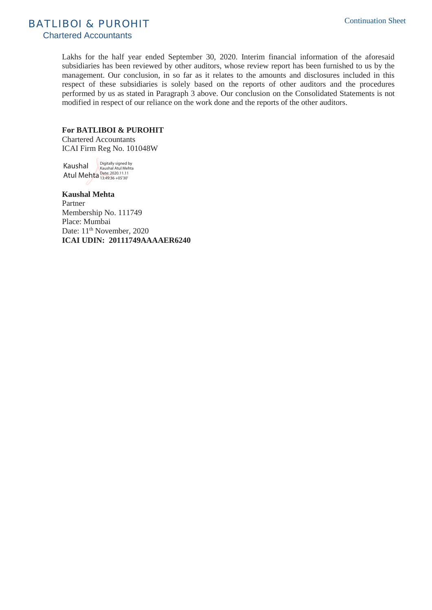BATLIBOI & PUROHIT

Chartered Accountants

Lakhs for the half year ended September 30, 2020. Interim financial information of the aforesaid subsidiaries has been reviewed by other auditors, whose review report has been furnished to us by the management. Our conclusion, in so far as it relates to the amounts and disclosures included in this respect of these subsidiaries is solely based on the reports of other auditors and the procedures performed by us as stated in Paragraph 3 above. Our conclusion on the Consolidated Statements is not modified in respect of our reliance on the work done and the reports of the other auditors.

#### **For BATLIBOI & PUROHIT**

Chartered Accountants ICAI Firm Reg No. 101048W

Kaushal Atul Mehta Date: 2020.11.11 Digitally signed by Kaushal Atul Mehta

**Kaushal Mehta**  Partner Membership No. 111749 Place: Mumbai Date: 11<sup>th</sup> November, 2020 **ICAI UDIN: 20111749AAAAER6240**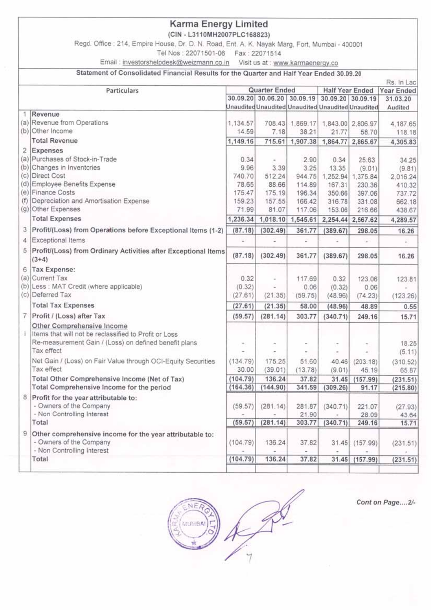(CIN - L3110MH2007PLC168823)

Regd. Office: 214, Empire House, Dr. D. N. Road, Ent. A. K. Nayak Marg, Fort, Mumbai - 400001

Tel Nos: 22071501-06 Fax: 22071514

Email: investorshelpdesk@weizmann.co.in Visit us at : www.karmaenergy.co

#### Statement of Consolidated Financial Results for the Quarter and Half Year Ended 30.09.20

|   |                                                                                                                                              |                 |                                                   |                  | Rs. In Lac          |                   |                          |  |
|---|----------------------------------------------------------------------------------------------------------------------------------------------|-----------------|---------------------------------------------------|------------------|---------------------|-------------------|--------------------------|--|
|   | Quarter Ended<br>Particulars                                                                                                                 |                 |                                                   |                  | Half Year Ended     |                   | Year Ended               |  |
|   |                                                                                                                                              |                 | 30.09.20 30.06.20 30.09.19                        |                  | 30.09.20 30.09.19   |                   | 31.03.20                 |  |
|   |                                                                                                                                              |                 | Unaudited Unaudited Unaudited Unaudited Unaudited |                  |                     |                   | Audited                  |  |
|   | 1 Revenue                                                                                                                                    |                 |                                                   |                  |                     |                   |                          |  |
|   | (a) Revenue from Operations<br>(b) Other Income                                                                                              | 1,134.57        |                                                   | 708.43 1.869.17  |                     | 1,843.00 2,806.97 | 4,187.65                 |  |
|   |                                                                                                                                              | 14.59           | 7.18                                              | 38.21            | 21.77               | 58.70             | 118.18                   |  |
|   | <b>Total Revenue</b>                                                                                                                         | 1,149.16        | 715.61                                            | 1,907.38         | 1,864.77            | 2,865.67          | 4,305.83                 |  |
|   | 2 Expenses                                                                                                                                   |                 |                                                   |                  |                     |                   |                          |  |
|   | (a) Purchases of Stock-in-Trade                                                                                                              | 0.34            |                                                   | 2.90             | 0.34                | 25.63             | 34.25                    |  |
|   | (b) Changes in Inventories<br>(c) Direct Cost                                                                                                | 9.96            | 3.39                                              | 3.25             | 13.35               | (9.01)            | (9.81)                   |  |
|   | (d) Employee Benefits Expense                                                                                                                | 740.70          | 512.24                                            | 944.75           | 1,252.94            | 1,375.84          | 2,016.24                 |  |
|   | (e) Finance Costs                                                                                                                            | 78.65<br>175.47 | 88.66<br>175.19                                   | 114.89<br>196.34 | 167.31<br>350.66    | 230.36            | 410.32                   |  |
|   | (f) Depreciation and Amortisation Expense                                                                                                    | 159.23          | 157.55                                            | 166.42           | 316.78              | 397.06<br>331.08  | 737.72<br>662.18         |  |
|   | (g) Other Expenses                                                                                                                           | 71.99           | 81.07                                             | 117.06           | 153.06              | 216.66            | 438.67                   |  |
|   | <b>Total Expenses</b>                                                                                                                        | 1,236.34        | 1,018.10                                          | 1,545.61         |                     | 2,254.44 2,567.62 | 4,289.57                 |  |
|   |                                                                                                                                              |                 |                                                   |                  |                     |                   |                          |  |
|   | 3 Profit/(Loss) from Operations before Exceptional Items (1-2)<br>4 Exceptional Items                                                        | (87.18)<br>同    | (302.49)                                          | 361.77           | (389.67)<br>z       | 298.05<br>$\sim$  | 16.26                    |  |
|   |                                                                                                                                              |                 |                                                   |                  |                     |                   | $\overline{\phantom{m}}$ |  |
|   | 5 Profit/(Loss) from Ordinary Activities after Exceptional Items<br>$(3+4)$                                                                  | (87.18)         | (302.49)                                          | 361.77           | (389.67)            | 298.05            | 16.26                    |  |
|   | 6 Tax Expense:                                                                                                                               |                 |                                                   |                  |                     |                   |                          |  |
|   | (a) Current Tax                                                                                                                              | 0.32            |                                                   | 117.69           | 0.32                | 123.06            | 123.81                   |  |
|   | (b) Less : MAT Credit (where applicable)                                                                                                     | (0.32)          |                                                   | 0.06             | (0.32)              | 0.06              |                          |  |
|   | (c) Deferred Tax                                                                                                                             | (27.61)         | (21.35)                                           | (59.75)          | (48.96)             | (74.23)           | (123.26)                 |  |
|   | <b>Total Tax Expenses</b>                                                                                                                    | (27.61)         | (21.35)                                           | 58.00            | (48.96)             | 48.89             | 0.55                     |  |
|   | 7 Profit / (Loss) after Tax                                                                                                                  | (59.57)         | (281.14)                                          | 303.77           | (340.71)            | 249.16            | 15.71                    |  |
|   | Other Comprehensive Income<br>Items that will not be reclassified to Profit or Loss<br>Re-measurement Gain / (Loss) on defined benefit plans |                 |                                                   |                  | $\sim$              |                   | 18.25                    |  |
|   | Tax effect                                                                                                                                   |                 |                                                   |                  | $\scriptstyle\rm m$ | $\sim$            | (5.11)                   |  |
|   | Net Gain / (Loss) on Fair Value through OCI-Equity Securities                                                                                | (134.79)        | 175.25                                            | 51.60            | 40.46               | (203.18)          | (310.52)                 |  |
|   | Tax effect                                                                                                                                   | 30.00           | (39.01)                                           | (13.78)          | (9.01)              | 45.19             | 65.87                    |  |
|   | Total Other Comprehensive Income (Net of Tax)                                                                                                | (104.79)        | 136.24                                            | 37.82            | 31.45               | (157.99)          | (231.51)                 |  |
|   | Total Comprehensive Income for the period                                                                                                    | (164.36)        | (144.90)                                          | 341.59           | (309.26)            | 91.17             | (215.80)                 |  |
| 8 | Profit for the year attributable to:                                                                                                         |                 |                                                   |                  |                     |                   |                          |  |
|   | - Owners of the Company                                                                                                                      | (59.57)         | (281.14)                                          | 281.87           | (340.71)            | 221.07            | (27.93)                  |  |
|   | - Non Controlling Interest                                                                                                                   |                 |                                                   | 21.90            |                     | 28.09             | 43.64                    |  |
|   | Total                                                                                                                                        | (59.57)         | (281.14)                                          | 303.77           | (340.71)            | 249.16            | 15.71                    |  |
| 9 | Other comprehensive income for the year attributable to:<br>- Owners of the Company<br>- Non Controlling Interest                            | (104.79)        | 136.24                                            | 37.82            | 31.45               | (157.99)          | (231.51)                 |  |
|   | Total                                                                                                                                        | (104.79)        | 136.24                                            |                  |                     |                   |                          |  |
|   |                                                                                                                                              |                 |                                                   | 37.82            | 31.45               | (157.99)          | (231.51)                 |  |



Cont on Page....2/-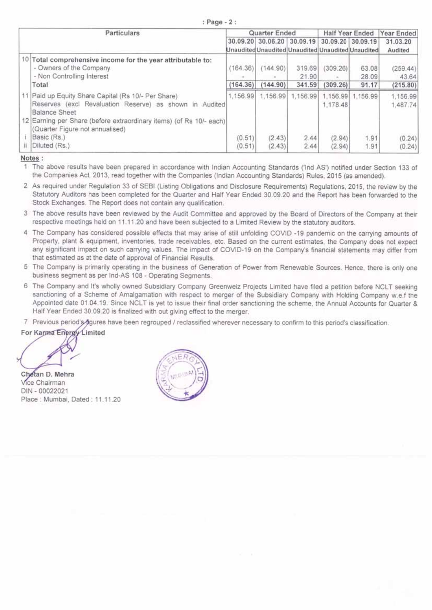| : Page - 2 : |  |  |  |  |  |  |  |  |
|--------------|--|--|--|--|--|--|--|--|
|--------------|--|--|--|--|--|--|--|--|

| Particulars                                                                                                                            |                  | Quarter Ended                                     |                 |                      | Half Year Ended |                      |
|----------------------------------------------------------------------------------------------------------------------------------------|------------------|---------------------------------------------------|-----------------|----------------------|-----------------|----------------------|
|                                                                                                                                        |                  | 30.09.20 30.06.20 30.09.19 30.09.20 30.09.19      |                 |                      |                 | 31.03.20             |
|                                                                                                                                        |                  | Unaudited Unaudited Unaudited Unaudited Unaudited |                 |                      |                 | Audited              |
| 10<br>Total comprehensive income for the year attributable to:<br>- Owners of the Company<br>- Non Controlling Interest                | (164.36)         | (144.90)                                          | 319.69<br>21.90 | (309.26)             | 63.08<br>28.09  | (259.44)<br>43.64    |
| Total                                                                                                                                  | (164.36)         | (144.90)                                          | 341.59          | (309.26)             | 91.17           | (215.80)             |
| 11 Paid up Equity Share Capital (Rs 10/- Per Share)<br>Reserves (excl Revaluation Reserve) as shown in Audited<br><b>Balance Sheet</b> | 1,156.99         | 1,156.99                                          | 1,156.99        | 1.156.99<br>1,178.48 | 1,156.99        | 1,156.99<br>1,487.74 |
| 12 Earning per Share (before extraordinary items) (of Rs 10/- each)<br>(Quarter Figure not annualised)<br>Basic (Rs.)<br>Diluted (Rs.) | (0.51)<br>(0.51) | (2.43)<br>(2.43)                                  | 2.44<br>2.44    | (2.94)<br>(2.94)     | 1.91<br>1.91    | (0.24)<br>(0.24)     |

Notes:

1 The above results have been prepared in accordance with Indian Accounting Standards ('Ind AS') notified under Section 133 of the Companies Act, 2013, read together with the Companies (Indian Accounting Standards) Rules, 2015 (as amended).

- 2 As required under Regulation 33 of SEBI (Listing Obligations and Disclosure Requirements) Regulations, 2015, the review by the Statutory Auditors has been completed for the Quarter and Half Year Ended 30.09.20 and the Report has been forwarded to the Stock Exchanges. The Report does not contain any qualification.
- 3 The above results have been reviewed by the Audit Committee and approved by the Board of Directors of the Company at their respective meetings held on 11.11.20 and have been subjected to a Limited Review by the statutory auditors.
- 4 The Company has considered possible effects that may arise of still unfolding COVID -19 pandemic on the carrying amounts of Property, plant & equipment, inventories, trade receivables, etc. Based on the current estimates, the Company does not expect any significant impact on such carrying values. The impact of COVID-19 on the Company's financial statements may differ from that estimated as at the date of approval of Financial Results.
- 5 The Company is primarily operating in the business of Generation of Power from Renewable Sources. Hence, there is only one business segment as per Ind-AS 108 - Operating Segments.
- 6 The Company and It's wholly owned Subsidiary Company Greenweiz Projects Limited have filed a petition before NCLT seeking sanctioning of a Scheme of Amalgamation with respect to merger of the Subsidiary Company with Holding Company w.e.f the Appointed date 01.04.19. Since NCLT is yet to issue their final order sanctioning the scheme, the Annual Accounts for Quarter & Half Year Ended 30.09.20 is finalized with out giving effect to the merger.
- 7 Previous period's ngures have been regrouped / reclassified wherever necessary to confirm to this period's classification.

For Karma Energy Limited

Chetan D. Mehra Vice Chairman DIN - 00022021 Place: Mumbai, Dated: 11.11.20

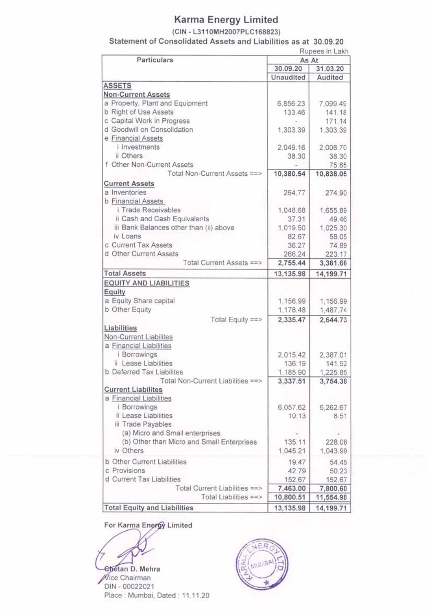## (CIN - L3110MH2007PLC168823)

Statement of Consolidated Assets and Liabilities as at 30.09.20  $-1$   $+1$ 

| Particulars                                       |                   | Rupees in Lakh   |
|---------------------------------------------------|-------------------|------------------|
|                                                   | As At<br>30.09.20 | 31.03.20         |
|                                                   | Unaudited         | Audited          |
| <b>ASSETS</b>                                     |                   |                  |
| <b>Non-Current Assets</b>                         |                   |                  |
| a Property, Plant and Equipment                   | 6,856.23          | 7,099.49         |
| b Right of Use Assets                             | 133.46            | 141.18           |
| c Capital Work in Progress                        |                   | 171.14           |
| d Goodwill on Consolidation                       | 1,303.39          | 1,303.39         |
| e Financial Assets                                |                   |                  |
| <i>i</i> Investments                              | 2,049.16          | 2,008.70         |
| ii Others                                         | 38.30             | 38.30            |
| f Other Non-Current Assets                        |                   | 75.85            |
| Total Non-Current Assets ==>                      | 10,380.54         | 10,838.05        |
| <b>Current Assets</b>                             |                   |                  |
| a Inventories                                     | 264.77            | 274.90           |
| b Financial Assets                                |                   |                  |
| i Trade Receivables                               | 1,048.68          | 1,655.89         |
| ii Cash and Cash Equivalents                      | 37.31             | 49.46            |
| iii Bank Balances other than (ii) above           | 1,019.50          | 1,025.30         |
| iv Loans                                          | 82.67             | 58.05            |
| c Current Tax Assets                              | 36.27             | 74.89            |
| d Other Current Assets                            | 266.24            | 223.17           |
| Total Current Assets ==>                          | 2,755.44          | 3,361.66         |
| <b>Total Assets</b>                               |                   |                  |
|                                                   | 13,135.98         | 14,199.71        |
| <b>EQUITY AND LIABILITIES</b>                     |                   |                  |
| Equity                                            |                   |                  |
| a Equity Share capital                            | 1,156.99          | 1,156.99         |
| b Other Equity                                    | 1,178.48          | 1,487.74         |
| Total Equity ==>                                  | 2,335.47          | 2,644.73         |
| Liabilities                                       |                   |                  |
| Non-Current Liabilites                            |                   |                  |
| a Financial Liabilities                           |                   |                  |
| i Borrowings                                      | 2,015.42          | 2,387.01         |
| ii Lease Liabilities<br>b Deferred Tax Liabilites | 136.19            | 141.52           |
| Total Non-Current Liabilities ==>                 | 1,185.90          | 1,225.85         |
| <b>Current Liabilites</b>                         | 3,337.51          | 3,754.38         |
| a Financial Liabilities                           |                   |                  |
| <i>i</i> Borrowings                               |                   |                  |
| ii Lease Liabilities                              | 6,057.62<br>10.13 | 6,262.67<br>8.51 |
| iii Trade Payables                                |                   |                  |
| (a) Micro and Small enterprises                   |                   |                  |
| (b) Other than Micro and Small Enterprises        | 135.11            | 228.08           |
| iv Others                                         | 1,045.21          | 1,043.99         |
|                                                   |                   |                  |
| b Other Current Liabilities                       | 19.47             | 54.45            |
| c Provisions                                      | 42.79             | 50.23            |
| d Current Tax Liabilities                         | 152.67            | 152.67           |
| Total Current Liabilities ==>                     | 7,463.00          | 7,800.60         |
| Total Liabilities ==>                             | 10,800.51         | 11,554.98        |
| <b>Total Equity and Liabilities</b>               | 13,135.98         | 14,199.71        |

For Karma Energy Limited

Chetan D. Mehra Vice Chairman DIN - 00022021 Place: Mumbai, Dated: 11.11.20